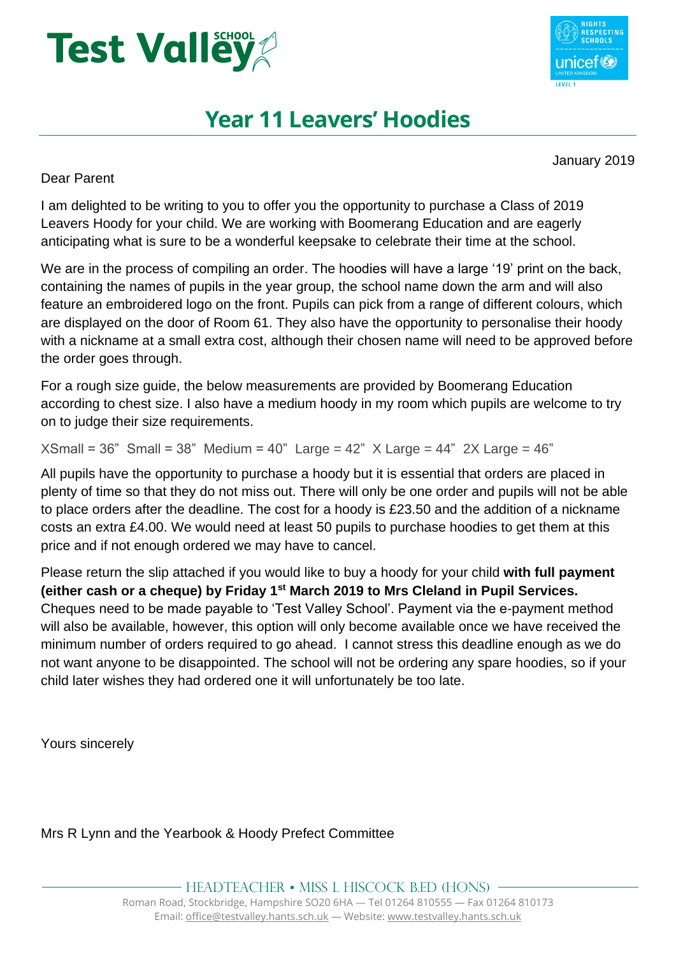



## **Year 11 Leavers' Hoodies**

January 2019

Dear Parent

I am delighted to be writing to you to offer you the opportunity to purchase a Class of 2019 Leavers Hoody for your child. We are working with Boomerang Education and are eagerly anticipating what is sure to be a wonderful keepsake to celebrate their time at the school.

We are in the process of compiling an order. The hoodies will have a large '19' print on the back, containing the names of pupils in the year group, the school name down the arm and will also feature an embroidered logo on the front. Pupils can pick from a range of different colours, which are displayed on the door of Room 61. They also have the opportunity to personalise their hoody with a nickname at a small extra cost, although their chosen name will need to be approved before the order goes through.

For a rough size guide, the below measurements are provided by Boomerang Education according to chest size. I also have a medium hoody in my room which pupils are welcome to try on to judge their size requirements.

 $XSmall = 36"$  Small = 38" Medium = 40" Large = 42" X Large = 44" 2X Large = 46"

All pupils have the opportunity to purchase a hoody but it is essential that orders are placed in plenty of time so that they do not miss out. There will only be one order and pupils will not be able to place orders after the deadline. The cost for a hoody is £23.50 and the addition of a nickname costs an extra £4.00. We would need at least 50 pupils to purchase hoodies to get them at this price and if not enough ordered we may have to cancel.

Please return the slip attached if you would like to buy a hoody for your child **with full payment (either cash or a cheque) by Friday 1st March 2019 to Mrs Cleland in Pupil Services.** Cheques need to be made payable to 'Test Valley School'. Payment via the e-payment method will also be available, however, this option will only become available once we have received the minimum number of orders required to go ahead. I cannot stress this deadline enough as we do not want anyone to be disappointed. The school will not be ordering any spare hoodies, so if your child later wishes they had ordered one it will unfortunately be too late.

Yours sincerely

Mrs R Lynn and the Yearbook & Hoody Prefect Committee